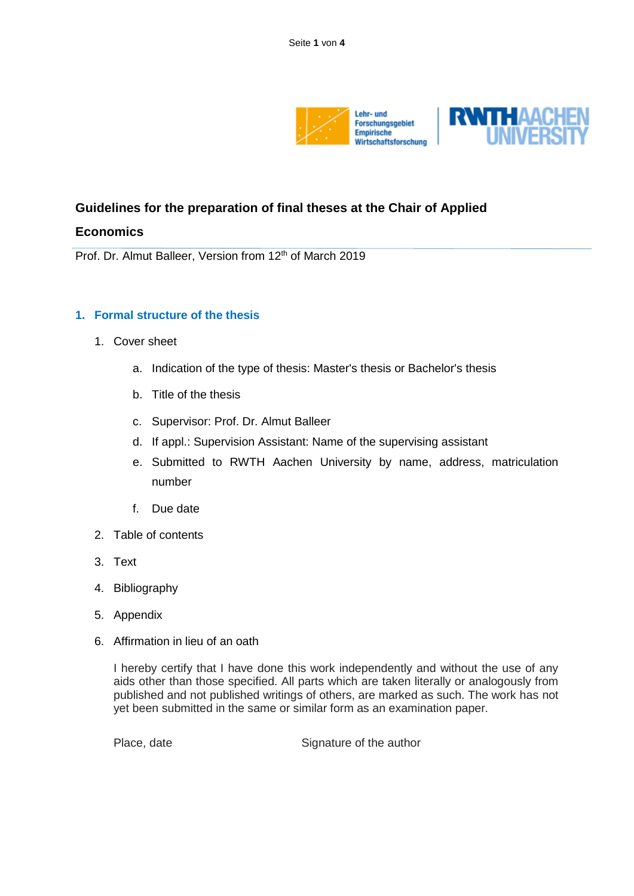

# **Guidelines for the preparation of final theses at the Chair of Applied**

# **Economics**

Prof. Dr. Almut Balleer, Version from 12<sup>th</sup> of March 2019

## **1. Formal structure of the thesis**

- 1. Cover sheet
	- a. Indication of the type of thesis: Master's thesis or Bachelor's thesis
	- b. Title of the thesis
	- c. Supervisor: Prof. Dr. Almut Balleer
	- d. If appl.: Supervision Assistant: Name of the supervising assistant
	- e. Submitted to RWTH Aachen University by name, address, matriculation number
	- f. Due date
- 2. Table of contents
- 3. Text
- 4. Bibliography
- 5. Appendix
- 6. Affirmation in lieu of an oath

I hereby certify that I have done this work independently and without the use of any aids other than those specified. All parts which are taken literally or analogously from published and not published writings of others, are marked as such. The work has not yet been submitted in the same or similar form as an examination paper.

Place, date Signature of the author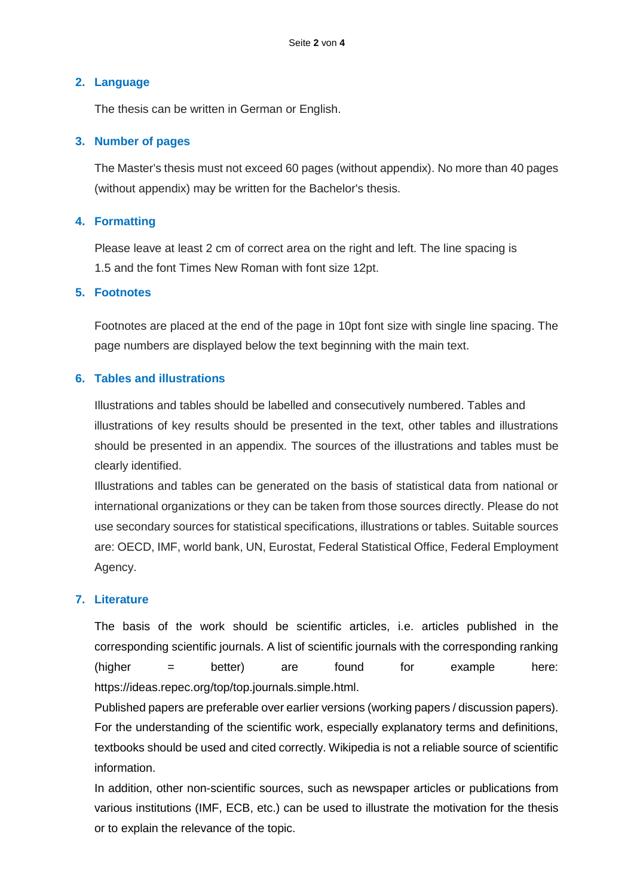### **2. Language**

The thesis can be written in German or English.

## **3. Number of pages**

The Master's thesis must not exceed 60 pages (without appendix). No more than 40 pages (without appendix) may be written for the Bachelor's thesis.

# **4. Formatting**

Please leave at least 2 cm of correct area on the right and left. The line spacing is 1.5 and the font Times New Roman with font size 12pt.

# **5. Footnotes**

Footnotes are placed at the end of the page in 10pt font size with single line spacing. The page numbers are displayed below the text beginning with the main text.

## **6. Tables and illustrations**

Illustrations and tables should be labelled and consecutively numbered. Tables and illustrations of key results should be presented in the text, other tables and illustrations should be presented in an appendix. The sources of the illustrations and tables must be clearly identified.

Illustrations and tables can be generated on the basis of statistical data from national or international organizations or they can be taken from those sources directly. Please do not use secondary sources for statistical specifications, illustrations or tables. Suitable sources are: OECD, IMF, world bank, UN, Eurostat, Federal Statistical Office, Federal Employment Agency.

# **7. Literature**

The basis of the work should be scientific articles, i.e. articles published in the corresponding scientific journals. A list of scientific journals with the corresponding ranking (higher = better) are found for example here: https://ideas.repec.org/top/top.journals.simple.html.

Published papers are preferable over earlier versions (working papers / discussion papers). For the understanding of the scientific work, especially explanatory terms and definitions, textbooks should be used and cited correctly. Wikipedia is not a reliable source of scientific information.

In addition, other non-scientific sources, such as newspaper articles or publications from various institutions (IMF, ECB, etc.) can be used to illustrate the motivation for the thesis or to explain the relevance of the topic.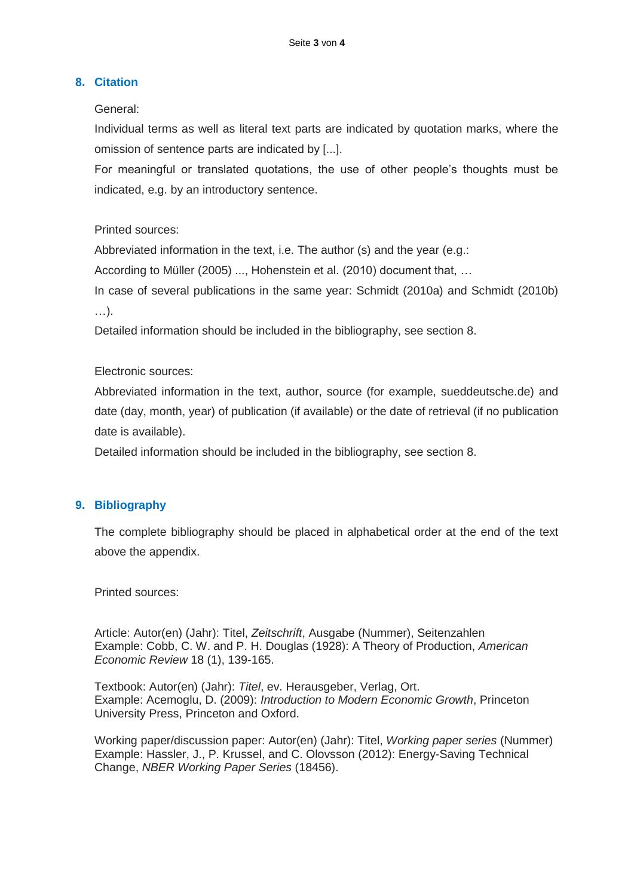## **8. Citation**

#### General:

Individual terms as well as literal text parts are indicated by quotation marks, where the omission of sentence parts are indicated by [...].

For meaningful or translated quotations, the use of other people's thoughts must be indicated, e.g. by an introductory sentence.

## Printed sources:

Abbreviated information in the text, i.e. The author (s) and the year (e.g.:

According to Müller (2005) ..., Hohenstein et al. (2010) document that, …

In case of several publications in the same year: Schmidt (2010a) and Schmidt (2010b)

…).

Detailed information should be included in the bibliography, see section 8.

#### Electronic sources:

Abbreviated information in the text, author, source (for example, sueddeutsche.de) and date (day, month, year) of publication (if available) or the date of retrieval (if no publication date is available).

Detailed information should be included in the bibliography, see section 8.

# **9. Bibliography**

The complete bibliography should be placed in alphabetical order at the end of the text above the appendix.

Printed sources:

Article: Autor(en) (Jahr): Titel, *Zeitschrift*, Ausgabe (Nummer), Seitenzahlen Example: Cobb, C. W. and P. H. Douglas (1928): A Theory of Production, *American Economic Review* 18 (1), 139-165.

Textbook: Autor(en) (Jahr): *Titel*, ev. Herausgeber, Verlag, Ort. Example: Acemoglu, D. (2009): *Introduction to Modern Economic Growth*, Princeton University Press, Princeton and Oxford.

Working paper/discussion paper: Autor(en) (Jahr): Titel, *Working paper series* (Nummer) Example: Hassler, J., P. Krussel, and C. Olovsson (2012): Energy-Saving Technical Change, *NBER Working Paper Series* (18456).